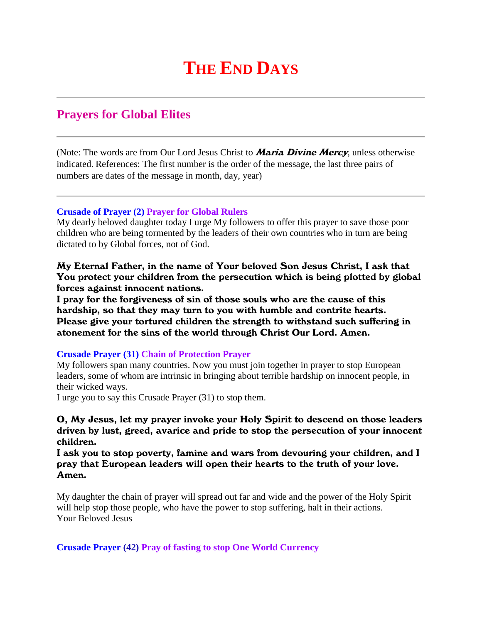# **THE END DAYS**

## **Prayers for Global Elites**

(Note: The words are from Our Lord Jesus Christ to **Maria Divine Mercy**, unless otherwise indicated. References: The first number is the order of the message, the last three pairs of numbers are dates of the message in month, day, year)

#### **Crusade of Prayer (2) Prayer for Global Rulers**

My dearly beloved daughter today I urge My followers to offer this prayer to save those poor children who are being tormented by the leaders of their own countries who in turn are being dictated to by Global forces, not of God.

My Eternal Father, in the name of Your beloved Son Jesus Christ, I ask that You protect your children from the persecution which is being plotted by global forces against innocent nations.

I pray for the forgiveness of sin of those souls who are the cause of this hardship, so that they may turn to you with humble and contrite hearts. Please give your tortured children the strength to withstand such suffering in atonement for the sins of the world through Christ Our Lord. Amen.

#### **Crusade Prayer (31) Chain of Protection Prayer**

My followers span many countries. Now you must join together in prayer to stop European leaders, some of whom are intrinsic in bringing about terrible hardship on innocent people, in their wicked ways.

I urge you to say this Crusade Prayer (31) to stop them.

### O, My Jesus, let my prayer invoke your Holy Spirit to descend on those leaders driven by lust, greed, avarice and pride to stop the persecution of your innocent children.

I ask you to stop poverty, famine and wars from devouring your children, and I pray that European leaders will open their hearts to the truth of your love. Amen.

My daughter the chain of prayer will spread out far and wide and the power of the Holy Spirit will help stop those people, who have the power to stop suffering, halt in their actions. Your Beloved Jesus

**Crusade Prayer (42) Pray of fasting to stop One World Currency**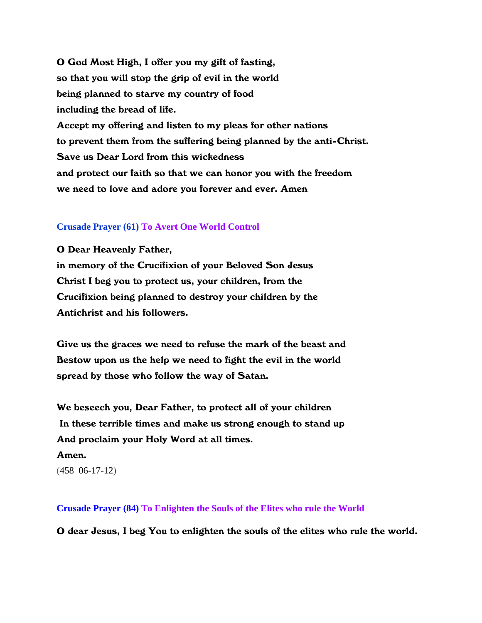O God Most High, I offer you my gift of fasting, so that you will stop the grip of evil in the world being planned to starve my country of food including the bread of life. Accept my offering and listen to my pleas for other nations to prevent them from the suffering being planned by the anti-Christ. Save us Dear Lord from this wickedness and protect our faith so that we can honor you with the freedom we need to love and adore you forever and ever. Amen

#### **Crusade Prayer (61) To Avert One World Control**

O Dear Heavenly Father, in memory of the Crucifixion of your Beloved Son Jesus Christ I beg you to protect us, your children, from the Crucifixion being planned to destroy your children by the Antichrist and his followers.

Give us the graces we need to refuse the mark of the beast and Bestow upon us the help we need to fight the evil in the world spread by those who follow the way of Satan.

We beseech you, Dear Father, to protect all of your children In these terrible times and make us strong enough to stand up And proclaim your Holy Word at all times. Amen.

(458 06-17-12)

**Crusade Prayer (84) To Enlighten the Souls of the Elites who rule the World**

O dear Jesus, I beg You to enlighten the souls of the elites who rule the world.